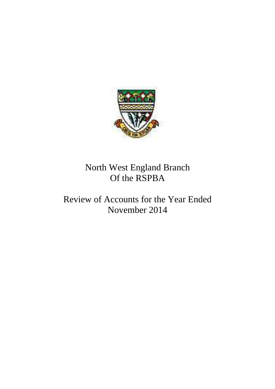

# North West England Branch Of the RSPBA

# Review of Accounts for the Year Ended November 2014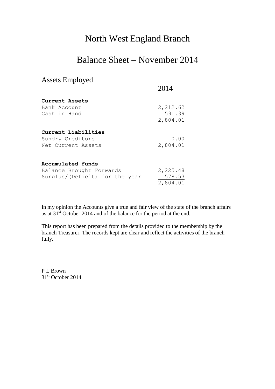### North West England Branch

### Balance Sheet – November 2014

#### Assets Employed

|                                         | 2014               |
|-----------------------------------------|--------------------|
| Current Assets                          |                    |
| Bank Account                            | 2, 212.62          |
| Cash in Hand                            | 591.39<br>2,804.01 |
| Current Liabilities                     |                    |
| Sundry Creditors                        | 0.00<br>2,804.01   |
| Net Current Assets<br>Accumulated funds |                    |
| Balance Brought Forwards                | 2,225.48           |
| Surplus/(Deficit) for the year          | 578.53             |
|                                         | 2,804.01           |

In my opinion the Accounts give a true and fair view of the state of the branch affairs as at  $31<sup>st</sup>$  October 2014 and of the balance for the period at the end.

This report has been prepared from the details provided to the membership by the branch Treasurer. The records kept are clear and reflect the activities of the branch fully.

P L Brown  $31<sup>st</sup>$  October 2014